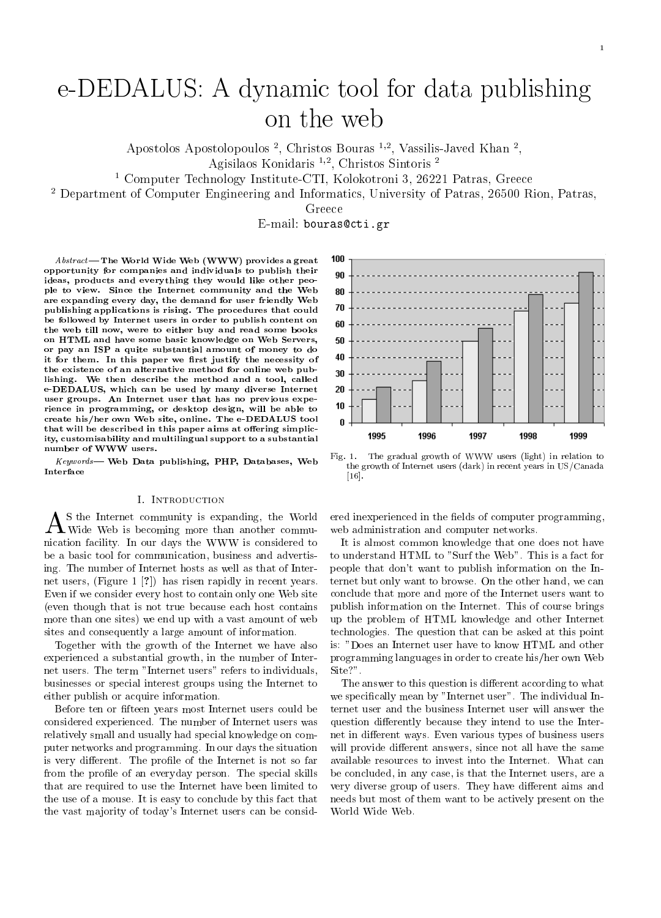# e-DEDALUS: A dynamic tool for data publishing on the web

Apostolos Apostolopoulos <sup>-</sup>, Christos Bouras <sup>-,</sup> Vassilis-Javed Khan <sup>-</sup>,

Agishaos Konidaris — , Christos Sintoris — , 2000 and 2001 and 2001 and 2001 and 2001 and 2001 and 2001 and 20

1 Computer Technology Institute-CTI, Kolokotroni 3, 26221 Patras, Greece

2 Department of Computer Engineering and Informatics, University of Patras, 26500 Rion, Patras,

Greece

E-mail: bouras@cti.gr

 $Abstract$ — The World Wide Web (WWW) provides a great 100 opportunity for companies and individuals to publish their ideas, products and everything they would like other people to view. Since the Internet community and the Web are expanding every day, the demand for user friendly Web publishing applications is rising. The procedures that could be followed by Internet users in order to publish content on 60 the web till now, were to either buy and read some books on HTML and have some basic knowledge on Web Servers, or pay an ISP a quite substantial amount of money to do or pay an ISP a quite substantial amount of money to do it for them. In this paper we first justify the necessity of the existence of an alternative method for online web publishing. We then describe the method and a tool, called e-DEDALUS, which can be used by many diverse Internet user groups. An Internet user that has no previous experience in programming, or desktop design, will be able to create his/her own Web site, online. The e-DEDALUS tool that will be described in this paper aims at offering simplicity, customisability and multilingual support to a substantial number of WWW users.

Keywords- Web Data publishing, PHP, Databases, Web Interface

# **I. INTRODUCTION**

 $A$ S the Internet community is expanding, the World ered in Wide Web is becoming more than another commu- web ad nication facility. In our days the WWW is considered to be a basic tool for communication, business and advertising. The number of Internet hosts as well as that of Internet users, (Figure 1 [?]) has risen rapidly in recent years. Even if we consider every host to contain only one Web site (even though that is not true because each host contains more than one sites) we end up with a vast amount of web sites and consequently a large amount of information.

Together with the growth of the Internet we have also experienced a substantial growth, in the number of Internet users. The term "Internet users" refers to individuals, businesses or special interest groups using the Internet to either publish or acquire information.

Before ten or fteen years most Internet users could be considered experienced. The number of Internet users was relatively small and usually had special knowledge on computer networks and programming. In our days the situation is very different. The profile of the Internet is not so far from the profile of an everyday person. The special skills that are required to use the Internet have been limited to the use of a mouse. It is easy to conclude by this fact that the vast majority of today's Internet users can be consid-



Fig. 1. The gradual growth of WWW users (light) in relation to the growth of Internet users (dark) in recent years in US/Canada [16].

ered inexperienced in the fields of computer programming, web administration and computer networks.

It is almost common knowledge that one does not have to understand HTML to "Surf the Web". This is a fact for people that don't want to publish information on the Internet but only want to browse. On the other hand, we can conclude that more and more of the Internet users want to publish information on the Internet. This of course brings up the problem of HTML knowledge and other Internet technologies. The question that can be asked at this point is: "Does an Internet user have to know HTML and other programming languages in order to create his/her own Web Site?".

The answer to this question is different according to what we specifically mean by "Internet user". The individual Internet user and the business Internet user will answer the question differently because they intend to use the Internet in different ways. Even various types of business users will provide different answers, since not all have the same available resources to invest into the Internet. What can be concluded, in any case, is that the Internet users, are a very diverse group of users. They have different aims and needs but most of them want to be actively present on the World Wide Web.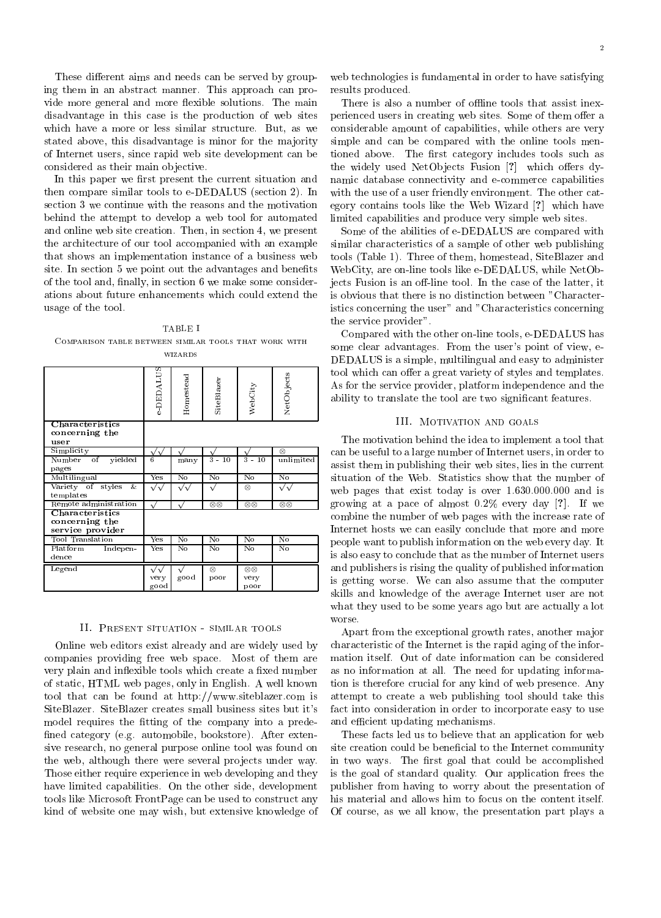These different aims and needs can be served by grouping them in an abstract manner. This approach can provide more general and more flexible solutions. The main disadvantage in this case is the production of web sites which have a more or less similar structure. But, as we stated above, this disadvantage is minor for the majority of Internet users, since rapid web site development can be considered as their main objective.

In this paper we first present the current situation and then compare similar tools to e-DEDALUS (section 2). In section 3 we continue with the reasons and the motivation behind the attempt to develop a web tool for automated and online web site creation. Then, in section 4, we present the architecture of our tool accompanied with an example that shows an implementation instance of a business web site. In section 5 we point out the advantages and benefits of the tool and, finally, in section 6 we make some considerations about future enhancements which could extend the usage of the tool.

TABLE I Comparison table between similar tools that work with **WIZARDS** 

|                                                       | a DEDALUS                 | Homestead              | SteBlazer              | WebCity                           | NetObjects             |
|-------------------------------------------------------|---------------------------|------------------------|------------------------|-----------------------------------|------------------------|
| Characteristics                                       |                           |                        |                        |                                   |                        |
| concerning the                                        |                           |                        |                        |                                   |                        |
| user<br>Simplicity                                    |                           |                        |                        |                                   | $\otimes$              |
| Number<br>$\overline{\text{of}}$                      | $\sqrt{\sqrt{}}$<br>6     |                        | $3 - 10$               | $3 - 10$                          | unlimited              |
| yielded<br>pages                                      |                           | many                   |                        |                                   |                        |
| Multilingual                                          | Yes                       | No                     | Nο                     | $\overline{\text{No}}$            | $\overline{\text{No}}$ |
| Variety of<br>&<br>styles                             |                           |                        |                        | $\otimes$                         |                        |
| templates                                             |                           |                        |                        |                                   |                        |
| Remote administration                                 |                           |                        | $\otimes\otimes$       | $\otimes \otimes$                 | $\otimes \otimes$      |
| Characteristics<br>concerning the<br>service provider |                           |                        |                        |                                   |                        |
| Tool Translation                                      | $\overline{\mathrm{Yes}}$ | $\overline{\text{No}}$ | $\overline{\text{No}}$ | $\overline{\text{No}}$            | $\overline{N_0}$       |
| Platform<br>Indepen-<br>dence                         | Yes                       | $\overline{N_0}$       | $\overline{N_0}$       | $\overline{N_0}$                  | $\overline{N_0}$       |
| Legend                                                | very<br>good              | good                   | $\otimes$<br>poor      | $\otimes \otimes$<br>very<br>poor |                        |

#### II. Present situation - similar tools

Online web editors exist already and are widely used by companies providing free web space. Most of them are very plain and inflexible tools which create a fixed number of static, HTML web pages, only in English. A well known tool that can be found at http://www.siteblazer.com is SiteBlazer. SiteBlazer creates small business sites but it's model requires the fitting of the company into a predefined category (e.g. automobile, bookstore). After extensive research, no general purpose online tool was found on the web, although there were several projects under way. Those either require experience in web developing and they have limited capabilities. On the other side, development tools like Microsoft FrontPage can be used to construct any kind of website one may wish, but extensive knowledge of

web technologies is fundamental in order to have satisfying results produced.

There is also a number of offline tools that assist inexperienced users in creating web sites. Some of them offer a considerable amount of capabilities, while others are very simple and can be compared with the online tools mentioned above. The first category includes tools such as the widely used NetObjects Fusion  $[?]$  which offers dynamic database connectivity and e-commerce capabilities with the use of a user friendly environment. The other category contains tools like the Web Wizard [?] which have limited capabilities and produce very simple web sites.

Some of the abilities of e-DEDALUS are compared with similar characteristics of a sample of other web publishing tools (Table 1). Three of them, homestead, SiteBlazer and WebCity, are on-line tools like e-DEDALUS, while NetObjects Fusion is an off-line tool. In the case of the latter, it is obvious that there is no distinction between "Characteristics concerning the user" and "Characteristics concerning the service provider".

Compared with the other on-line tools, e-DEDALUS has some clear advantages. From the user's point of view, e-DEDALUS is a simple, multilingual and easy to administer tool which can offer a great variety of styles and templates. As for the service provider, platform independence and the ability to translate the tool are two signicant features.

## III. Motivation and goals

 can be useful to a large number of Internet users, in order to  $\begin{bmatrix} 1 & 1 & 1 \\ 1 & 1 & 1 \end{bmatrix}$  assist them in publishing their web sites, lies in the current  $\sqrt{\sqrt{}}$  web pages that exist today is over 1.630.000.000 and is growing at a pace of almost  $\mathcal{O}(\mathbb{R}^d)$  of all way  $\mathcal{O}(\mathbb{R}^d)$ The motivation behind the idea to implement a tool that situation of the Web. Statistics show that the number of combine the number of web pages with the increase rate of Internet hosts we can easily conclude that more and more people want to publish information on the web every day. It is also easy to conclude that as the number of Internet users and publishers is rising the quality of published information is getting worse. We can also assume that the computer skills and knowledge of the average Internet user are not what they used to be some years ago but are actually a lot worse.

> Apart from the exceptional growth rates, another major characteristic of the Internet is the rapid aging of the information itself. Out of date information can be considered as no information at all. The need for updating information is therefore crucial for any kind of web presence. Any attempt to create a web publishing tool should take this fact into consideration in order to incorporate easy to use and efficient updating mechanisms.

> These facts led us to believe that an application for web site creation could be beneficial to the Internet community in two ways. The first goal that could be accomplished is the goal of standard quality. Our application frees the publisher from having to worry about the presentation of his material and allows him to focus on the content itself. Of course, as we all know, the presentation part plays a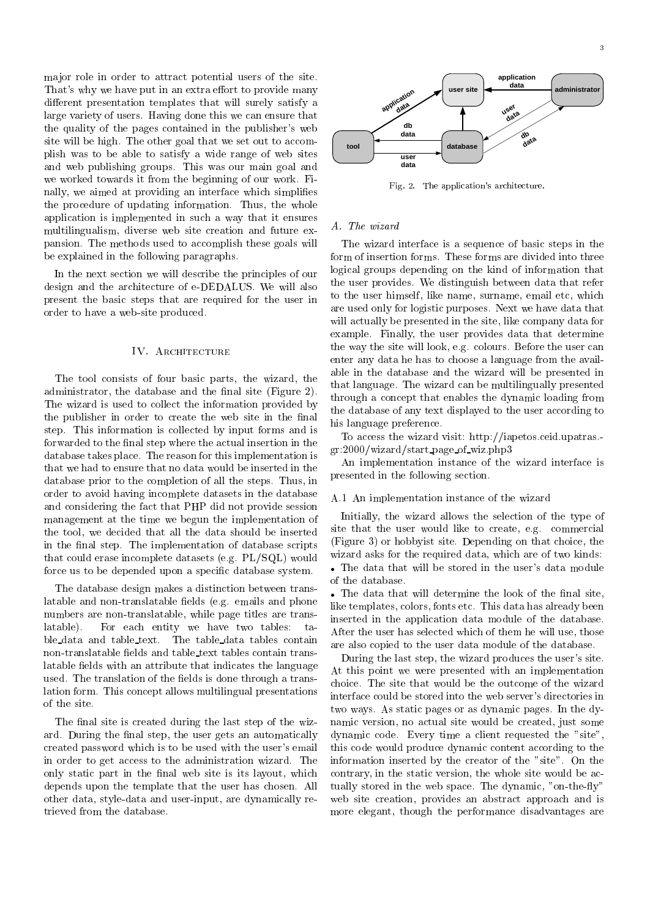ma jor role in order to attract potential users of the site. That's why we have put in an extra effort to provide many different presentation templates that will surely satisfy a large variety of users. Having done this we can ensure that the quality of the pages contained in the publisher's web site will be high. The other goal that we set out to accomplish was to be able to satisfy a wide range of web sites and web publishing groups. This was our main goal and we worked towards it from the beginning of our work. Finally, we aimed at providing an interface which simplifies the procedure of updating information. Thus, the whole application is implemented in such a way that it ensures multilingualism, diverse web site creation and future expansion. The methods used to accomplish these goals will be explained in the following paragraphs.

In the next section we will describe the principles of our design and the architecture of e-DEDALUS. We will also present the basic steps that are required for the user in order to have a web-site produced.

#### IV. ARCHITECTURE

The tool consists of four basic parts, the wizard, the administrator, the database and the final site (Figure 2). The wizard is used to collect the information provided by the publisher in order to create the web site in the final step. This information is collected by input forms and is forwarded to the final step where the actual insertion in the database takes place. The reason for this implementation is that we had to ensure that no data would be inserted in the database prior to the completion of all the steps. Thus, in order to avoid having incomplete datasets in the database and considering the fact that PHP did not provide session management at the time we begun the implementation of the tool, we decided that all the data should be inserted in the final step. The implementation of database scripts that could erase incomplete datasets (e.g. PL/SQL) would force us to be depended upon a specic database system.

The database design makes a distinction between translatable and non-translatable fields (e.g. emails and phone numbers are non-translatable, while page titles are translatable) For each entity we have two tables: table data and table text. The table data tables contain non-translatable fields and table text tables contain translatable fields with an attribute that indicates the language used. The translation of the fields is done through a translation form. This concept allows multilingual presentations of the site.

The final site is created during the last step of the wizard. During the final step, the user gets an automatically created password which is to be used with the user's email in order to get access to the administration wizard. The only static part in the final web site is its layout, which depends upon the template that the user has chosen. All other data, style-data and user-input, are dynamically retrieved from the database.



Fig. 2. The application's architecture.

### A. The wizard

The wizard interface is a sequence of basic steps in the form of insertion forms. These forms are divided into three logical groups depending on the kind of information that the user provides. We distinguish between data that refer to the user himself, like name, surname, email etc, which are used only for logistic purposes. Next we have data that will actually be presented in the site, like company data for example. Finally, the user provides data that determine the way the site will look, e.g. colours. Before the user can enter any data he has to choose a language from the available in the database and the wizard will be presented in that language. The wizard can be multilingually presented through a concept that enables the dynamic loading from the database of any text displayed to the user according to his language preference.

To access the wizard visit: http://iapetos.ceid.upatras. gr:2000/wizard/start page of wiz.php3

An implementation instance of the wizard interface is presented in the following section.

## A.1 An implementation instance of the wizard

Initially, the wizard allows the selection of the type of site that the user would like to create, e.g. commercial (Figure 3) or hobbyist site. Depending on that choice, the wizard asks for the required data, which are of two kinds: The data that will be stored in the user's data module of the database.

 $\bullet$  The data that will determine the look of the final site, like templates, colors, fonts etc. This data has already been inserted in the application data module of the database. After the user has selected which of them he will use, those are also copied to the user data module of the database.

During the last step, the wizard produces the user's site. At this point we were presented with an implementation choice. The site that would be the outcome of the wizard interface could be stored into the web server's directories in two ways. As static pages or as dynamic pages. In the dynamic version, no actual site would be created, just some dynamic code. Every time a client requested the "site", this code would produce dynamic content according to the information inserted by the creator of the "site". On the contrary, in the static version, the whole site would be actually stored in the web space. The dynamic, "on-the-fly" web site creation, provides an abstract approach and is more elegant, though the performance disadvantages are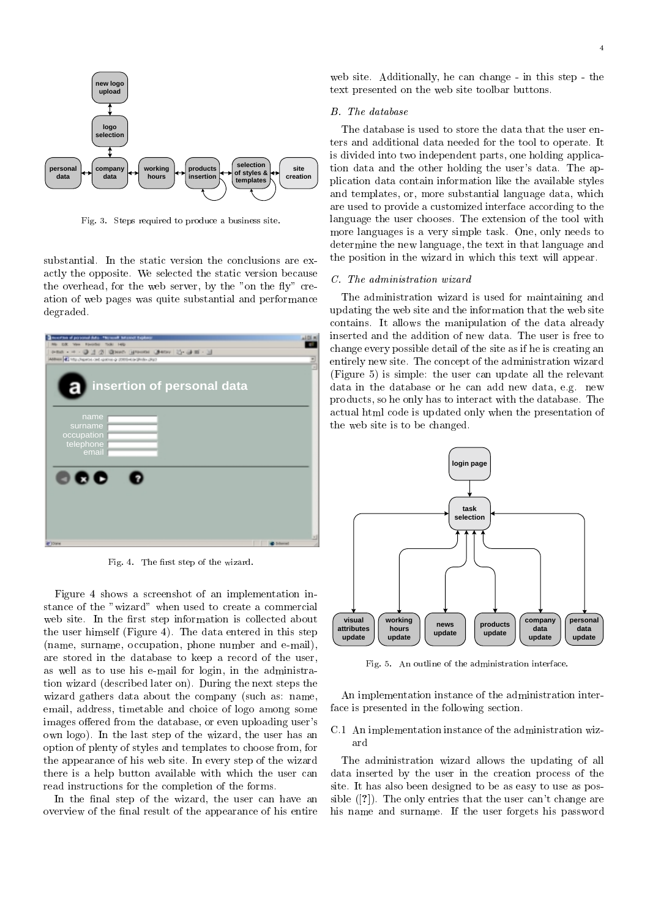

Fig. 3. Steps required to produce a business site.

substantial. In the static version the conclusions are exactly the opposite. We selected the static version because the overhead, for the web server, by the "on the fly" creation of web pages was quite substantial and performance degraded.

| verties of personal data - Through Telesser Explore                                | n101m                  |
|------------------------------------------------------------------------------------|------------------------|
| Rio D.K. Van Forche Tolki Hilly<br>ena - + - @ 그 @ @sen (greene @kov   2)- 과 피 - 그 |                        |
| Abbas ( ) My chemic oil game a complete this chat                                  | ⋣                      |
|                                                                                    |                        |
|                                                                                    |                        |
| insertion of personal data                                                         |                        |
|                                                                                    |                        |
|                                                                                    |                        |
|                                                                                    |                        |
| name                                                                               |                        |
| surname                                                                            |                        |
| occupation                                                                         |                        |
| telephone                                                                          |                        |
| email                                                                              |                        |
|                                                                                    |                        |
|                                                                                    |                        |
| 000                                                                                |                        |
|                                                                                    |                        |
|                                                                                    |                        |
|                                                                                    |                        |
|                                                                                    |                        |
|                                                                                    |                        |
|                                                                                    |                        |
| <b>FIDON</b>                                                                       | ×<br><b>C</b> Internet |
|                                                                                    |                        |

Fig. 4. The first step of the wizard.

Figure 4 shows a screenshot of an implementation instance of the "wizard" when used to create a commercial web site. In the first step information is collected about the user himself (Figure 4). The data entered in this step (name, surname, occupation, phone number and e-mail), are stored in the database to keep a record of the user, as well as to use his e-mail for login, in the administration wizard (described later on). During the next steps the wizard gathers data about the company (such as: name, email, address, timetable and choice of logo among some images offered from the database, or even uploading user's own logo). In the last step of the wizard, the user has an option of plenty of styles and templates to choose from, for the appearance of his web site. In every step of the wizard there is a help button available with which the user can read instructions for the completion of the forms.

In the final step of the wizard, the user can have an overview of the final result of the appearance of his entire

web site. Additionally, he can change - in this step - the text presented on the web site toolbar buttons.

### B. The database

The database is used to store the data that the user enters and additional data needed for the tool to operate. It is divided into two independent parts, one holding application data and the other holding the user's data. The application data contain information like the available styles and templates, or, more substantial language data, which are used to provide a customized interface according to the language the user chooses. The extension of the tool with more languages is a very simple task. One, only needs to determine the new language, the text in that language and the position in the wizard in which this text will appear.

#### C. The administration wizard

The administration wizard is used for maintaining and updating the web site and the information that the web site contains. It allows the manipulation of the data already inserted and the addition of new data. The user is free to change every possible detail of the site as if he is creating an entirely new site. The concept of the administration wizard (Figure 5) is simple: the user can update all the relevant data in the database or he can add new data, e.g. new products, so he only has to interact with the database. The actual html code is updated only when the presentation of the web site is to be changed.



Fig. 5. An outline of the administration interface.

An implementation instance of the administration interface is presented in the following section.

# C.1 An implementation instance of the administration wizard

The administration wizard allows the updating of all data inserted by the user in the creation process of the site. It has also been designed to be as easy to use as possible ([?]). The only entries that the user can't change are his name and surname. If the user forgets his password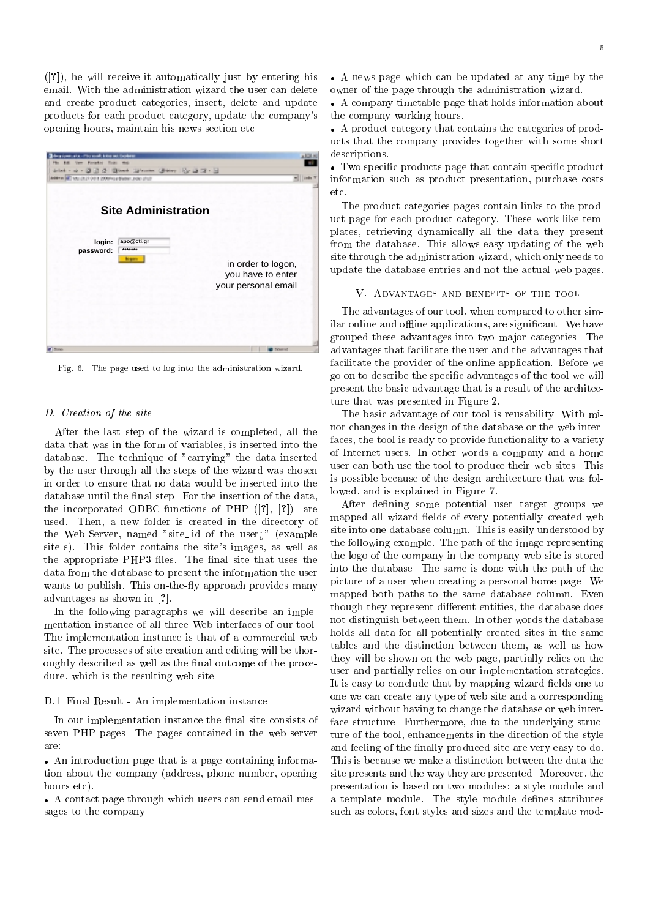([?]), he will receive it automatically just by entering his email. With the administration wizard the user can delete and create product categories, insert, delete and update products for each product category, update the company's opening hours, maintain his news section etc.

| on, et a « Piter south, letter set theplanet<br><b>Very Royallot Total Audi</b><br>6.60<br>14 <sub>1</sub><br>astat - o + O ① O ② O wan (provint Orange) [Cy O Z + 2]<br>ARRESTS LIKE THE REPORT 3:00 T. E. LEWIS CO., LANSING MICH. | 1018<br>$+$   into 5                    |
|--------------------------------------------------------------------------------------------------------------------------------------------------------------------------------------------------------------------------------------|-----------------------------------------|
| <b>Site Administration</b><br>apo@cti.gr<br>login:<br>*******<br>password:<br><b>Margaret</b>                                                                                                                                        | in order to logon,<br>you have to enter |
| <b>Earlies</b>                                                                                                                                                                                                                       | your personal email<br>Ticks and        |

Fig. 6. The page used to log into the administration wizard.

#### D. Creation of the site

After the last step of the wizard is completed, all the data that was in the form of variables, is inserted into the database. The technique of "carrying" the data inserted by the user through all the steps of the wizard was chosen in order to ensure that no data would be inserted into the database until the final step. For the insertion of the data, the incorporated ODBC-functions of PHP ([?], [?]) are used. Then, a new folder is created in the directory of the Web-Server, named "site-jid of the user $\iota$ " (example site-s). This folder contains the site's images, as well as the appropriate PHP3 files. The final site that uses the data from the database to present the information the user wants to publish. This on-the-fly approach provides many advantages as shown in [?].

In the following paragraphs we will describe an implementation instance of all three Web interfaces of our tool. The implementation instance is that of a commercial web site. The processes of site creation and editing will be thoroughly described as well as the final outcome of the procedure, which is the resulting web site.

# D.1 Final Result - An implementation instance

In our implementation instance the final site consists of seven PHP pages. The pages contained in the web server are:

 An introduction page that is a page containing information about the company (address, phone number, opening hours etc).

 A contact page through which users can send email messages to the company.

 A news page which can be updated at any time by the owner of the page through the administration wizard.

 A company timetable page that holds information about the company working hours.

 A product category that contains the categories of products that the company provides together with some short descriptions.

 Two specic products page that contain specic product information such as product presentation, purchase costs  $etc.$ 

The product categories pages contain links to the product page for each product category. These work like templates, retrieving dynamically all the data they present from the database. This allows easy updating of the web site through the administration wizard, which only needs to update the database entries and not the actual web pages.

## V. Advantages and benefits of the tool

The advantages of our tool, when compared to other similar online and offline applications, are significant. We have grouped these advantages into two ma jor categories. The advantages that facilitate the user and the advantages that facilitate the provider of the online application. Before we go on to describe the specic advantages of the tool we will present the basic advantage that is a result of the architecture that was presented in Figure 2.

The basic advantage of our tool is reusability. With minor changes in the design of the database or the web interfaces, the tool is ready to provide functionality to a variety of Internet users. In other words a company and a home user can both use the tool to produce their web sites. This is possible because of the design architecture that was followed, and is explained in Figure 7.

After defining some potential user target groups we mapped all wizard fields of every potentially created web site into one database column. This is easily understood by the following example. The path of the image representing the logo of the company in the company web site is stored into the database. The same is done with the path of the picture of a user when creating a personal home page. We mapped both paths to the same database column. Even though they represent different entities, the database does not distinguish between them. In other words the database holds all data for all potentially created sites in the same tables and the distinction between them, as well as how they will be shown on the web page, partially relies on the user and partially relies on our implementation strategies. It is easy to conclude that by mapping wizard fields one to one we can create any type of web site and a corresponding wizard without having to change the database or web interface structure. Furthermore, due to the underlying structure of the tool, enhancements in the direction of the style and feeling of the finally produced site are very easy to do. This is because we make a distinction between the data the site presents and the way they are presented. Moreover, the presentation is based on two modules: a style module and a template module. The style module defines attributes such as colors, font styles and sizes and the template mod-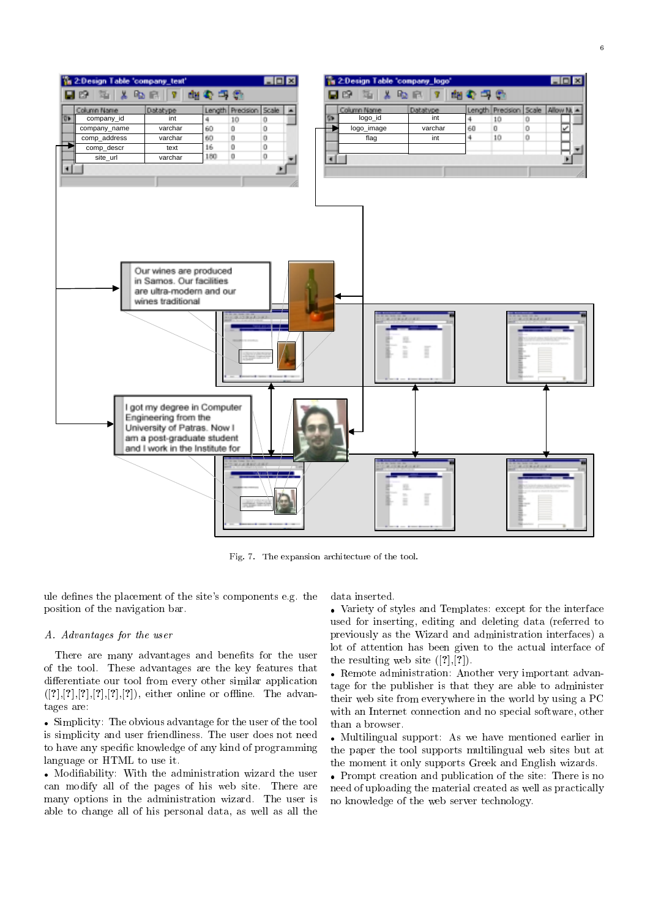

Fig. 7. The expansion architecture of the tool.

ule defines the placement of the site's components e.g. the position of the navigation bar.

## A. Advantages for the user

There are many advantages and benefits for the user of the tool. These advantages are the key features that differentiate our tool from every other similar application  $([?], [?], [?], [?], [?], [?]),$  either online or offline. The advantages are:

 Simplicity: The obvious advantage for the user of the tool is simplicity and user friendliness. The user does not need to have any specic knowledge of any kind of programming language or HTML to use it.

 Modiability: With the administration wizard the user can modify all of the pages of his web site. There are many options in the administration wizard. The user is able to change all of his personal data, as well as all the data inserted.

 Variety of styles and Templates: except for the interface used for inserting, editing and deleting data (referred to previously as the Wizard and administration interfaces) a lot of attention has been given to the actual interface of the resulting web site  $([?,],[?])$ .

 Remote administration: Another very important advantage for the publisher is that they are able to administer their web site from everywhere in the world by using a PC with an Internet connection and no special software, other than a browser.

 Multilingual support: As we have mentioned earlier in the paper the tool supports multilingual web sites but at the moment it only supports Greek and English wizards.

 Prompt creation and publication of the site: There is no need of uploading the material created as well as practically no knowledge of the web server technology.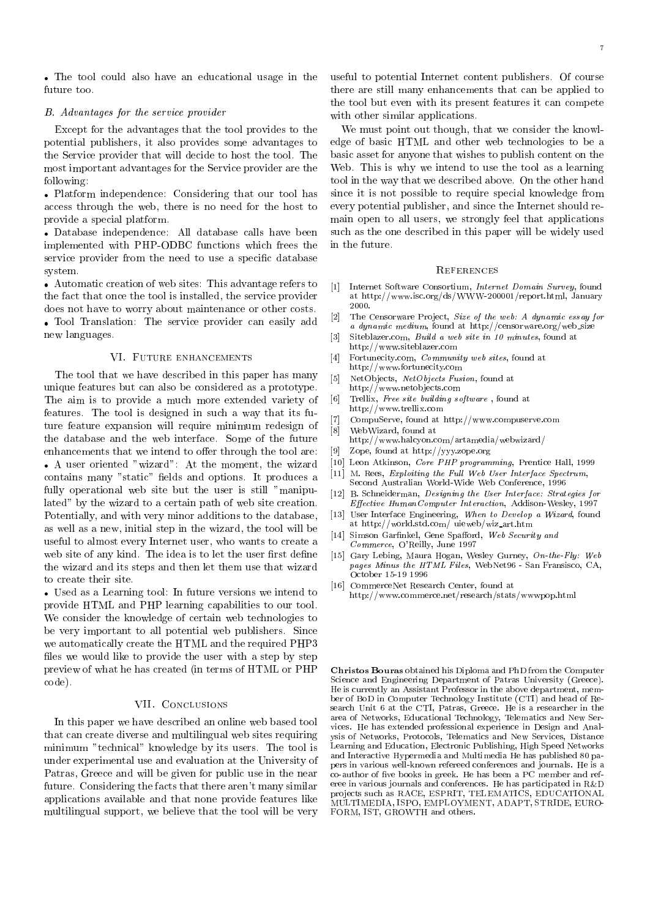The tool could also have an educational usage in the future too.

#### B. Advantages for the service provider

Except for the advantages that the tool provides to the potential publishers, it also provides some advantages to the Service provider that will decide to host the tool. The most important advantages for the Service provider are the following:

 Platform independence: Considering that our tool has access through the web, there is no need for the host to provide a special platform.

 Database independence: All database calls have been implemented with PHP-ODBC functions which frees the service provider from the need to use a specific database system.

• Automatic creation of web sites: This advantage refers to  $[1]$ the fact that once the tool is installed, the service provider does not have to worry about maintenance or other costs.<br>The latter with a service are identically see assigned at [2] Tool Translation: The service provider can easily add new languages.

#### VI. FUTURE ENHANCEMENTS

The tool that we have described in this paper has many unique features but can also be considered as a prototype. The aim is to provide a much more extended variety of features. The tool is designed in such a way that its future feature expansion will require minimum redesign of  $\frac{1}{8}$ . the database and the web interface. Some of the future enhancements that we intend to offer through the tool are: A user oriented "wizard": At the moment, the wizard contains many "static" fields and options. It produces a fully operational web site but the user is still "manipulated" by the wizard to a certain path of web site creation. Potentially, and with very minor additions to the database, as well as a new, initial step in the wizard, the tool will be useful to almost every Internet user, who wants to create a web site of any kind. The idea is to let the user first define the wizard and its steps and then let them use that wizard to create their site.

 Used as a Learning tool: In future versions we intend to provide HTML and PHP learning capabilities to our tool. We consider the knowledge of certain web technologies to be very important to all potential web publishers. Since we automatically create the HTML and the required PHP3 files we would like to provide the user with a step by step preview of what he has created (in terms of HTML or PHP code).

# VII. Conclusions

In this paper we have described an online web based tool that can create diverse and multilingual web sites requiring minimum "technical" knowledge by its users. The tool is under experimental use and evaluation at the University of Patras, Greece and will be given for public use in the near future. Considering the facts that there aren't many similar applications available and that none provide features like multilingual support, we believe that the tool will be very

useful to potential Internet content publishers. Of course there are still many enhancements that can be applied to the tool but even with its present features it can compete with other similar applications.

We must point out though, that we consider the knowledge of basic HTML and other web technologies to be a basic asset for anyone that wishes to publish content on the Web. This is why we intend to use the tool as a learning tool in the way that we described above. On the other hand since it is not possible to require special knowledge from every potential publisher, and since the Internet should remain open to all users, we strongly feel that applications such as the one described in this paper will be widely used in the future.

#### **REFERENCES**

- Internet Software Consortium, Internet Domain Survey, found at http://www.isc.org/ds/WWW-200001/report.html, January 2000.
- [2] The Censorware Pro ject, Size of the web: A dynamic essay for a dynamic medium, found at http://censorware.org/web size
- $[3]$ Siteblazer.com, Build a web site in 10 minutes, found at http://www.siteblazer.com
- [4] Fortunecity.com, *Community web sites*, found at http://www.fortunecity.com
- NetObjects, NetObjects Fusion, found at http://www.netobjects.com
- [6] Trellix, Free site building software, found at http://www.trellix.com
- [7] CompuServe, found at http://www.compuserve.com
- WebWizard, found at  $\mathbb{R}$  web with a set  $\mathbb{R}$  at  $\mathbb{R}$  at  $\mathbb{R}$  . The set of  $\mathbb{R}$ 
	- http://www.halcyon.com/artamedia/webwizard/
- Zope, found at http://yyy.zope.org
- [10] Leon Atkinson, Core PHP programming, Prentice Hall, 1999
- [11] M. Rees, Exploiting the Full Web User Interface Spectrum, Second Australian World-Wide Web Conference, 1996
- [12] B. Schneiderman, Designing the User Interface: Strategies for Effective HumanComputer Interaction, Addison-Wesley, 1997
- User Interface Engineering, When to Develop a Wizard, found  $[13]$ at http://world.std.com/ uieweb/wiz art.htm
- [14] Simson Garfinkel, Gene Spafford, Web Security and Commerce, O'Reilly, June 1997
- [15] Gary Lebing, Maura Hogan, Wesley Gurney, On-the-Fly: Web pages Minus the HTML Files, WebNet96 - San Fransisco, CA, October 15-19 1996
- [16] CommerceNet Research Center, found at http://www.commerce.net/research/stats/wwwpop.html

Christos Bouras obtained his Diploma and PhD from the Computer Science and Engineering Department of Patras University (Greece). He is currently an Assistant Professor in the above department, member of BoD in Computer Technology Institute (CTI) and head of Re search Unit 6 at the CTI, Patras, Greece. He is a researcher in the area of Networks, Educational Technology, Telematics and New Services. He has extended professional experience in Design and Analysis of Networks, Protocols, Telematics and New Services, Distance Learning and Education, Electronic Publishing, High Speed Networks and Interactive Hypermedia and Multimedia He has published 80 papers in various well-known refereed conferences and journals. He is a co-author of five books in greek. He has been a PC member and referee in various journals and conferences. He has participated in R&D projects such as RACE, ESPRIT, TELEMATICS, EDUCATIONAL MULTIMEDIA, ISPO, EMPLOYMENT, ADAPT, STRIDE, EURO-FORM, IST, GROWTH and others.